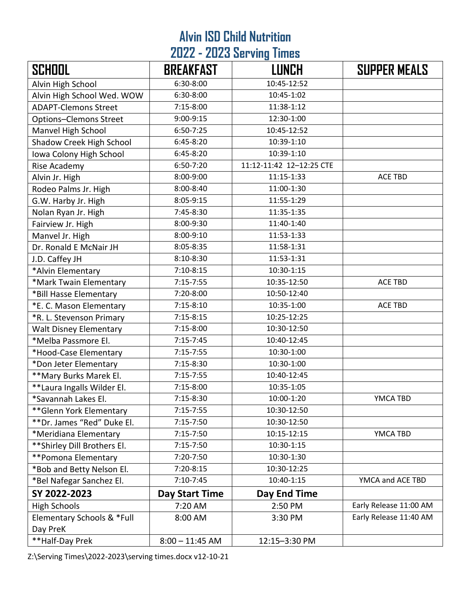## **Alvin ISD Child Nutrition 2022 - 2023 Serving Times**

| <b>SCHOOL</b>                 | <b>BREAKFAST</b>  | <b>LUNCH</b>             | <b>SUPPER MEALS</b>    |
|-------------------------------|-------------------|--------------------------|------------------------|
| Alvin High School             | 6:30-8:00         | 10:45-12:52              |                        |
| Alvin High School Wed. WOW    | 6:30-8:00         | 10:45-1:02               |                        |
| <b>ADAPT-Clemons Street</b>   | $7:15-8:00$       | 11:38-1:12               |                        |
| Options-Clemons Street        | 9:00-9:15         | 12:30-1:00               |                        |
| Manvel High School            | 6:50-7:25         | 10:45-12:52              |                        |
| Shadow Creek High School      | $6:45-8:20$       | 10:39-1:10               |                        |
| Iowa Colony High School       | 6:45-8:20         | 10:39-1:10               |                        |
| Rise Academy                  | 6:50-7:20         | 11:12-11:42 12-12:25 CTE |                        |
| Alvin Jr. High                | 8:00-9:00         | 11:15-1:33               | <b>ACE TBD</b>         |
| Rodeo Palms Jr. High          | 8:00-8:40         | 11:00-1:30               |                        |
| G.W. Harby Jr. High           | 8:05-9:15         | 11:55-1:29               |                        |
| Nolan Ryan Jr. High           | 7:45-8:30         | 11:35-1:35               |                        |
| Fairview Jr. High             | 8:00-9:30         | 11:40-1:40               |                        |
| Manvel Jr. High               | 8:00-9:10         | 11:53-1:33               |                        |
| Dr. Ronald E McNair JH        | 8:05-8:35         | 11:58-1:31               |                        |
| J.D. Caffey JH                | 8:10-8:30         | 11:53-1:31               |                        |
| *Alvin Elementary             | $7:10-8:15$       | 10:30-1:15               |                        |
| *Mark Twain Elementary        | $7:15 - 7:55$     | 10:35-12:50              | <b>ACE TBD</b>         |
| *Bill Hasse Elementary        | 7:20-8:00         | 10:50-12:40              |                        |
| *E. C. Mason Elementary       | $7:15-8:10$       | 10:35-1:00               | <b>ACE TBD</b>         |
| *R. L. Stevenson Primary      | $7:15-8:15$       | 10:25-12:25              |                        |
| <b>Walt Disney Elementary</b> | $7:15 - 8:00$     | 10:30-12:50              |                        |
| *Melba Passmore El.           | $7:15 - 7:45$     | 10:40-12:45              |                        |
| *Hood-Case Elementary         | $7:15 - 7:55$     | 10:30-1:00               |                        |
| *Don Jeter Elementary         | $7:15-8:30$       | 10:30-1:00               |                        |
| ** Mary Burks Marek El.       | $7:15 - 7:55$     | 10:40-12:45              |                        |
| **Laura Ingalls Wilder El.    | 7:15-8:00         | 10:35-1:05               |                        |
| *Savannah Lakes El.           | 7:15-8:30         | 10:00-1:20               | YMCA TBD               |
| ** Glenn York Elementary      | $7:15 - 7:55$     | 10:30-12:50              |                        |
| **Dr. James "Red" Duke El.    | $7:15 - 7:50$     | 10:30-12:50              |                        |
| *Meridiana Elementary         | $7:15 - 7:50$     | 10:15-12:15              | YMCA TBD               |
| ** Shirley Dill Brothers El.  | $7:15-7:50$       | 10:30-1:15               |                        |
| **Pomona Elementary           | 7:20-7:50         | 10:30-1:30               |                        |
| *Bob and Betty Nelson El.     | 7:20-8:15         | 10:30-12:25              |                        |
| *Bel Nafegar Sanchez El.      | 7:10-7:45         | 10:40-1:15               | YMCA and ACE TBD       |
| SY 2022-2023                  | Day Start Time    | Day End Time             |                        |
| <b>High Schools</b>           | 7:20 AM           | 2:50 PM                  | Early Release 11:00 AM |
| Elementary Schools & *Full    | 8:00 AM           | 3:30 PM                  | Early Release 11:40 AM |
| Day PreK                      |                   |                          |                        |
| **Half-Day Prek               | $8:00 - 11:45$ AM | 12:15-3:30 PM            |                        |

Z:\Serving Times\2022-2023\serving times.docx v12-10-21